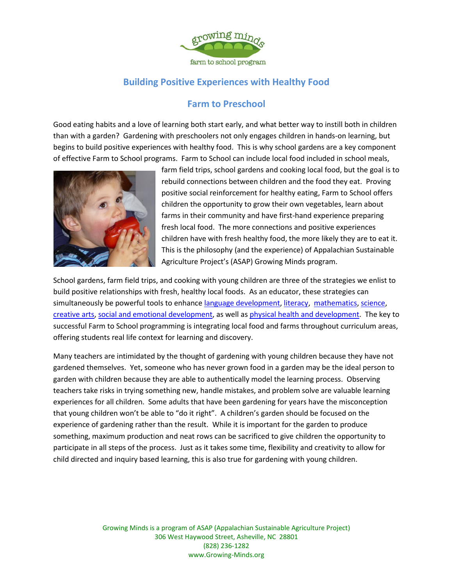

## **Building Positive Experiences with Healthy Food**

## **Farm to Preschool**

Good eating habits and a love of learning both start early, and what better way to instill both in children than with a garden? Gardening with preschoolers not only engages children in hands-on learning, but begins to build positive experiences with healthy food. This is why school gardens are a key component of effective Farm to School programs. Farm to School can include local food included in school meals,



farm field trips, school gardens and cooking local food, but the goal is to rebuild connections between children and the food they eat. Proving positive social reinforcement for healthy eating, Farm to School offers children the opportunity to grow their own vegetables, learn about farms in their community and have first-hand experience preparing fresh local food. The more connections and positive experiences children have with fresh healthy food, the more likely they are to eat it. This is the philosophy (and the experience) of Appalachian Sustainable Agriculture Project's (ASAP) Growing Minds program.

School gardens, farm field trips, and cooking with young children are three of the strategies we enlist to build positive relationships with fresh, healthy local foods. As an educator, these strategies can simultaneously be powerful tools to enhance [language development,](http://eclkc.ohs.acf.hhs.gov/hslc/ecdh/eecd/Assessment/Child%20Outcomes/edudev_art_00090_080905.html#language) [literacy,](http://eclkc.ohs.acf.hhs.gov/hslc/ecdh/eecd/Assessment/Child%20Outcomes/edudev_art_00090_080905.html#literacy) [mathematics,](http://eclkc.ohs.acf.hhs.gov/hslc/ecdh/eecd/Assessment/Child%20Outcomes/edudev_art_00090_080905.html#math) [science,](http://eclkc.ohs.acf.hhs.gov/hslc/ecdh/eecd/Assessment/Child%20Outcomes/edudev_art_00090_080905.html#science) [creative arts,](http://eclkc.ohs.acf.hhs.gov/hslc/ecdh/eecd/Assessment/Child%20Outcomes/edudev_art_00090_080905.html#arts) [social and emotional development,](http://eclkc.ohs.acf.hhs.gov/hslc/ecdh/eecd/Assessment/Child%20Outcomes/edudev_art_00090_080905.html#social) as well a[s physical health and development.](http://eclkc.ohs.acf.hhs.gov/hslc/ecdh/eecd/Assessment/Child%20Outcomes/edudev_art_00090_080905.html#physical) The key to successful Farm to School programming is integrating local food and farms throughout curriculum areas, offering students real life context for learning and discovery.

Many teachers are intimidated by the thought of gardening with young children because they have not gardened themselves. Yet, someone who has never grown food in a garden may be the ideal person to garden with children because they are able to authentically model the learning process. Observing teachers take risks in trying something new, handle mistakes, and problem solve are valuable learning experiences for all children. Some adults that have been gardening for years have the misconception that young children won't be able to "do it right". A children's garden should be focused on the experience of gardening rather than the result. While it is important for the garden to produce something, maximum production and neat rows can be sacrificed to give children the opportunity to participate in all steps of the process. Just as it takes some time, flexibility and creativity to allow for child directed and inquiry based learning, this is also true for gardening with young children.

> Growing Minds is a program of ASAP (Appalachian Sustainable Agriculture Project) 306 West Haywood Street, Asheville, NC 28801 (828) 236-1282 www.Growing-Minds.org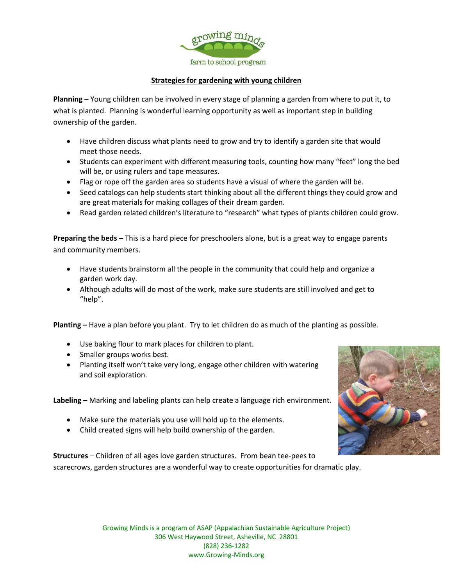

## **Strategies for gardening with young children**

**Planning –** Young children can be involved in every stage of planning a garden from where to put it, to what is planted. Planning is wonderful learning opportunity as well as important step in building ownership of the garden.

- Have children discuss what plants need to grow and try to identify a garden site that would meet those needs.
- Students can experiment with different measuring tools, counting how many "feet" long the bed will be, or using rulers and tape measures.
- Flag or rope off the garden area so students have a visual of where the garden will be.
- Seed catalogs can help students start thinking about all the different things they could grow and are great materials for making collages of their dream garden.
- Read garden related children's literature to "research" what types of plants children could grow.

**Preparing the beds –** This is a hard piece for preschoolers alone, but is a great way to engage parents and community members.

- Have students brainstorm all the people in the community that could help and organize a garden work day.
- Although adults will do most of the work, make sure students are still involved and get to "help".

**Planting –** Have a plan before you plant. Try to let children do as much of the planting as possible.

- Use baking flour to mark places for children to plant.
- Smaller groups works best.
- Planting itself won't take very long, engage other children with watering and soil exploration.

**Labeling –** Marking and labeling plants can help create a language rich environment.

- Make sure the materials you use will hold up to the elements.
- Child created signs will help build ownership of the garden.

**Structures** – Children of all ages love garden structures. From bean tee-pees to scarecrows, garden structures are a wonderful way to create opportunities for dramatic play.



Growing Minds is a program of ASAP (Appalachian Sustainable Agriculture Project) 306 West Haywood Street, Asheville, NC 28801 (828) 236-1282 www.Growing-Minds.org